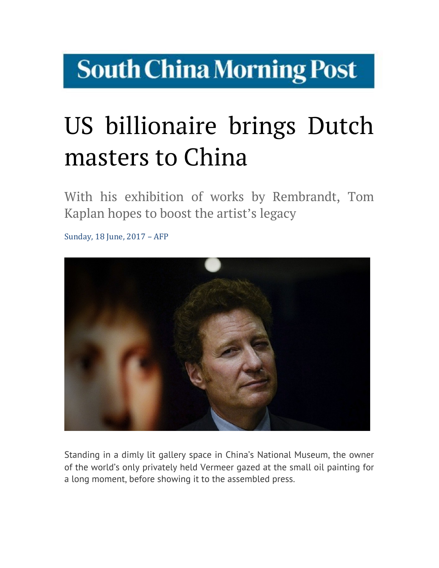## **South China Morning Post**

## US billionaire brings Dutch masters to China  $U$ <u>IIIASLEI</u>

With his exhibition of works by Rembrandt, Tom Kaplan hopes to boost the artist's legacy  *polar bones to boost the artistical*  $*Y*$ 

Sunday, 18 June, 2017 - AFP  $S$ unday, 10 june, 2017,  $\overline{S}$ Ari



Standing in a dimly lit gallery space in China's National Museum, the owner<br>of the world's only privately held Vermeer gazed at the small oil painting for of the world's only privately held Vermeer gazed at the small oil painting for a long moment, before showing it to the assembled press. Standing in to the assembled press. showing it to the assembled press  $\Delta$  https://sc.mp/ $\Delta$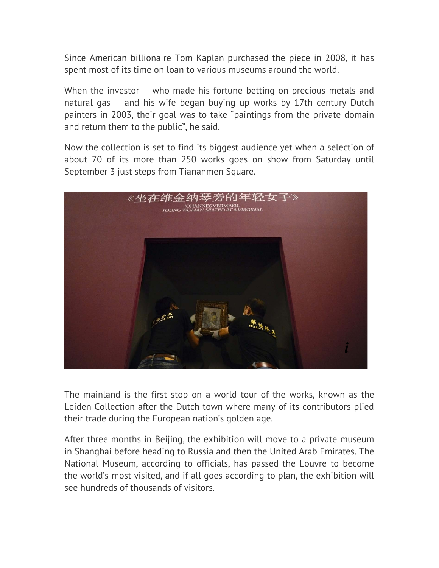Since American billionaire Tom Kaplan purchased the piece in 2008, it has spent most of its time on loan to various museums around the world.

When the investor – who made his fortune betting on precious metals and natural gas – and his wife began buying up works by 17th century Dutch painters in 2003, their goal was to take "paintings from the private domain and return them to the public", he said.

Now the collection is set to find its biggest audience yet when a selection of about 70 of its more than 250 works goes on show from Saturday until September 3 just steps from Tiananmen Square.



The mainland is the first stop on a world tour of the works, known as the laider Collection of the Dutch town where many of its contributors plied Leiden Collection after the Dutch town where many of its contributors plied their trade during the European nation's golden age.

After three months in Beijing, the exhibition will move to a private museum in Shanghai before heading to Russia and then the United Arab Emirates. The National Museum, according to officials, has passed the Louvre to become the world's most visited, and if all goes according to plan, the exhibition will see hundreds of thousands of visitors. private museum in Shanghai before heading to Russia and Russia and Russia and Russia and Russia and Russia and Russia and Russia and Russia and Russia and Russia and Russia and Russia and Russia and Russia and Russia and R